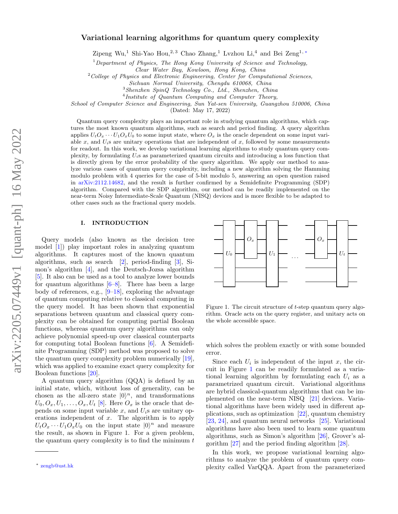# Variational learning algorithms for quantum query complexity

Zipeng Wu,<sup>1</sup> Shi-Yao Hou,<sup>2, 3</sup> Chao Zhang,<sup>1</sup> Lvzhou Li,<sup>4</sup> and Bei Zeng<sup>1,\*</sup>

<sup>1</sup>Department of Physics, The Hong Kong University of Science and Technology,

Clear Water Bay, Kowloon, Hong Kong, China

 $2^2$ College of Physics and Electronic Engineering, Center for Computational Sciences,

Sichuan Normal University, Chengdu 610068, China

 $^3Shenzhen$   $SpinQ$   ${\it Technology}$   $Co.,$   $Ltd.,$   $Shenzhen,$   $China$ 

<sup>4</sup>Institute of Quantum Computing and Computer Theory,

School of Computer Science and Engineering, Sun Yat-sen University, Guangzhou 510006, China

(Dated: May 17, 2022)

Quantum query complexity plays an important role in studying quantum algorithms, which captures the most known quantum algorithms, such as search and period finding. A query algorithm applies  $U_tO_x \cdots U_1O_xU_0$  to some input state, where  $O_x$  is the oracle dependent on some input variable x, and  $U_i$ s are unitary operations that are independent of x, followed by some measurements for readout. In this work, we develop variational learning algorithms to study quantum query complexity, by formulating  $U_i$ s as parameterized quantum circuits and introducing a loss function that is directly given by the error probability of the query algorithm. We apply our method to analyze various cases of quantum query complexity, including a new algorithm solving the Hamming modulo problem with 4 queries for the case of 5-bit modulo 5, answering an open question raised in [arXiv:2112.14682,](http://arxiv.org/abs/2112.14682) and the result is further confirmed by a Semidefinite Programming (SDP) algorithm. Compared with the SDP algorithm, our method can be readily implemented on the near-term Noisy Intermediate-Scale Quantum (NISQ) devices and is more flexible to be adapted to other cases such as the fractional query models.

## I. INTRODUCTION

Query models (also known as the decision tree model [\[1\]](#page-4-0)) play important roles in analyzing quantum algorithms. It captures most of the known quantum algorithms, such as search [\[2\]](#page-4-1), period-finding [\[3\]](#page-4-2), Simon's algorithm [\[4\]](#page-4-3), and the Deutsch-Jozsa algorithm [\[5\]](#page-4-4). It also can be used as a tool to analyze lower bounds for quantum algorithms  $[6-8]$  $[6-8]$ . There has been a large body of references, e.g., [\[9–](#page-5-2)[18\]](#page-5-3), exploring the advantage of quantum computing relative to classical computing in the query model. It has been shown that exponential separations between quantum and classical query complexity can be obtained for computing partial Boolean functions, whereas quantum query algorithms can only achieve polynomial speed-up over classical counterparts for computing total Boolean functions [\[6\]](#page-5-0). A Semidefinite Programming (SDP) method was proposed to solve the quantum query complexity problem numerically [\[19\]](#page-5-4), which was applied to examine exact query complexity for Boolean functions [\[20\]](#page-5-5).

A quantum query algorithm (QQA) is defined by an initial state, which, without loss of generality, can be chosen as the all-zero state  $|0\rangle^n$ , and transformations  $U_0, O_x, U_1, \ldots, O_x, U_t$  [\[8\]](#page-5-1). Here  $O_x$  is the oracle that depends on some input variable  $x$ , and  $U_i$ s are unitary operations independent of  $x$ . The algorithm is to apply  $U_t O_x \cdots U_1 O_x U_0$  on the input state  $|0\rangle^n$  and measure the result, as shown in Figure 1. For a given problem, the quantum query complexity is to find the minimum  $t$ 



<span id="page-0-1"></span>Figure 1. The circuit structure of t-step quantum query algorithm. Oracle acts on the query register, and unitary acts on the whole accessible space.

which solves the problem exactly or with some bounded error.

Since each  $U_i$  is independent of the input  $x$ , the circuit in Figure [1](#page-0-1) can be readily formulated as a variational learning algorithm by formulating each  $U_i$  as a parametrized quantum circuit. Variational algorithms are hybrid classical-quantum algorithms that can be implemented on the near-term NISQ [\[21\]](#page-5-6) devices. Variational algorithms have been widely used in different applications, such as optimization [\[22\]](#page-5-7), quantum chemistry [\[23,](#page-5-8) [24\]](#page-5-9), and quantum neural networks [\[25\]](#page-5-10). Variational algorithms have also been used to learn some quantum algorithms, such as Simon's algorithm [\[26\]](#page-5-11), Grover's algorithm [\[27\]](#page-5-12) and the period finding algorithm [\[28\]](#page-5-13).

In this work, we propose variational learning algorithms to analyze the problem of quantum query complexity called VarQQA. Apart from the parameterized

<span id="page-0-0"></span><sup>∗</sup> [zengb@ust.hk](mailto:zengb@ust.hk)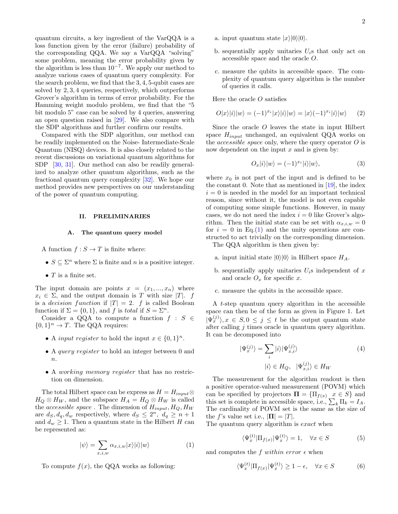quantum circuits, a key ingredient of the VarQQA is a loss function given by the error (failure) probability of the corresponding QQA. We say a VarQQA "solving" some problem, meaning the error probability given by the algorithm is less than  $10^{-7}$ . We apply our method to analyze various cases of quantum query complexity. For the search problem, we find that the 3, 4, 5-qubit cases are solved by 2, 3, 4 queries, respectively, which outperforms Grover's algorithm in terms of error probability. For the Hamming weight modulo problem, we find that the "5 bit modulo 5" case can be solved by 4 queries, answering an open question raised in [\[29\]](#page-5-14). We also compare with the SDP algorithms and further confirm our results.

Compared with the SDP algorithm, our method can be readily implemented on the Noise- Intermediate-Scale Quantum (NISQ) devices. It is also closely related to the recent discussions on variational quantum algorithms for SDP [\[30,](#page-5-15) [31\]](#page-5-16). Our method can also be readily generalized to analyze other quantum algorithms, such as the fractional quantum query complexity [\[32\]](#page-5-17). We hope our method provides new perspectives on our understanding of the power of quantum computing.

## II. PRELIMINARIES

#### A. The quantum query model

A function  $f : S \to T$  is finite where:

- $S \subseteq \Sigma^n$  where  $\Sigma$  is finite and n is a positive integer.
- $T$  is a finite set.

The input domain are points  $x = (x_1, ..., x_n)$  where  $x_i \in \Sigma$ , and the output domain is T with size |T|. f is a *decision function* if  $|T| = 2$ . f is called Boolean function if  $\Sigma = \{0, 1\}$ , and f is total if  $S = \Sigma^n$ .

Consider a QQA to compute a function  $f : S \in$  ${0, 1}^n \rightarrow T$ . The QQA requires:

- A *input register* to hold the input  $x \in \{0,1\}^n$ .
- A query register to hold an integer between 0 and  $\boldsymbol{n}$ .
- A working memory register that has no restriction on dimension.

The total Hilbert space can be express as  $H = H_{input} \otimes$  $H_Q \otimes H_W$ , and the subspace  $H_A = H_Q \otimes H_W$  is called the accessible space . The dimension of  $H_{input}, H_Q, H_W$ are  $d_S, d_q, d_w$  respectively, where  $d_S \leq 2^n$ ,  $d_q \geq n+1$ and  $d_w \geq 1$ . Then a quantum state in the Hilbert H can be represented as:

<span id="page-1-0"></span>
$$
|\psi\rangle = \sum_{x,i,w} \alpha_{x,i,w} |x\rangle |i\rangle |w\rangle \tag{1}
$$

To compute  $f(x)$ , the QQA works as following:

- a. input quantum state  $|x\rangle|0\rangle|0\rangle$ .
- b. sequentially apply unitaries  $U_i$ s that only act on accessible space and the oracle O.
- c. measure the qubits in accessible space. The complexity of quantum query algorithm is the number of queries it calls.

Here the oracle  $O$  satisfies

$$
O|x\rangle|i\rangle|w\rangle = (-1)^{x_i}|x\rangle|i\rangle|w\rangle = |x\rangle(-1)^{x_i}|i\rangle|w\rangle \qquad (2)
$$

Since the oracle O leaves the state in input Hilbert space  $H_{input}$  unchanged, an equivalent QQA works on the  $accessible space$  only, where the query operator  $O$  is now dependent on the input  $x$  and is given by:

<span id="page-1-2"></span>
$$
O_x|i\rangle|w\rangle = (-1)^{x_i}|i\rangle|w\rangle,\tag{3}
$$

where  $x_0$  is not part of the input and is defined to be the constant 0. Note that as mentioned in  $[19]$ , the index  $i = 0$  is needed in the model for an important technical reason, since without it, the model is not even capable of computing some simple functions. However, in many cases, we do not need the index  $i = 0$  like Grover's algorithm. Then the initial state can be set with  $\alpha_{x,i,w} = 0$ for  $i = 0$  in Eq.[\(1\)](#page-1-0) and the unity operations are constructed to act trivially on the corresponding dimension.

The QQA algorithm is then given by:

- a. input initial state  $|0\rangle|0\rangle$  in Hilbert space  $H_A$ .
- b. sequentially apply unitaries  $U_i$ s independent of x and oracle  $O_x$  for specific x.
- c. measure the qubits in the accessible space.

A t-step quantum query algorithm in the accessible space can then be of the form as given in Figure 1. Let  $|\Psi_x^{(j)}\rangle, x \in S, 0 \leq j \leq t$  be the output quantum state after calling j times oracle in quantum query algorithm. It can be decomposed into

$$
|\Psi_x^{(j)}\rangle = \sum_i |i\rangle |\Psi_{x,i}^{(j)}\rangle
$$
  

$$
|i\rangle \in H_Q, \quad |\Psi_{x,i}^{(j)}\rangle \in H_W
$$
 (4)

The measurement for the algorithm readout is then a positive operator-valued measurement (POVM) which can be specified by projectors  $\Pi = {\Pi_{f(x)}} \underset{x}{x} \in S$  and this set is complete in accessible space, i.e.,  $\sum_{k} \Pi_{k} = I_{A}$ . The cardinality of POVM set is the same as the size of the f's value set i.e.,  $|\mathbf{\Pi}| = |T|$ .

The quantum query algorithm is *exact* when

$$
\langle \Psi_x^{(t)} | \Pi_{f(x)} | \Psi_x^{(t)} \rangle = 1, \quad \forall x \in S \tag{5}
$$

and computes the f within error  $\epsilon$  when

<span id="page-1-1"></span>
$$
\langle \Psi_x^{(t)} | \Pi_{f(x)} | \Psi_x^{(t)} \rangle \ge 1 - \epsilon, \quad \forall x \in S \tag{6}
$$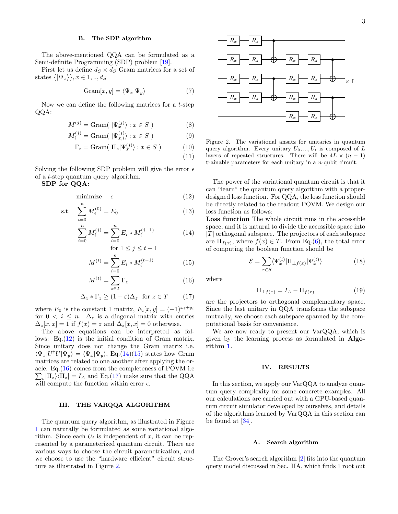#### B. The SDP algorithm

The above-mentioned QQA can be formulated as a Semi-definite Programming (SDP) problem [\[19\]](#page-5-4).

First let us define  $d_S \times d_S$  Gram matrices for a set of states  $\{|\Psi_x\rangle\}, x \in 1, ..., d_S$ 

$$
Gram[x, y] = \langle \Psi_x | \Psi_y \rangle \tag{7}
$$

Now we can define the following matrices for a t-step QQA:

$$
M^{(j)} = \text{Gram}(\ \vert \Psi_x^{(j)} \rangle : x \in S \ ) \tag{8}
$$

$$
M_i^{(j)} = \text{Gram}(\ | \Psi_{x,i}^{(j)} \rangle : x \in S \ ) \tag{9}
$$

$$
\Gamma_z = \text{Gram}(\Pi_z | \Psi_x^{(j)}) : x \in S \tag{10}
$$

$$
(11)
$$

Solving the following SDP problem will give the error  $\epsilon$ of a t-step quantum query algorithm.

SDP for QQA:

<span id="page-2-0"></span>
$$
minimize \t\epsilon \t(12)
$$

s.t. 
$$
\sum_{i=0}^{n} M_i^{(0)} = E_0
$$
 (13)

$$
\sum_{i=0}^{n} M_i^{(j)} = \sum_{i=0}^{n} E_i * M_i^{(j-1)}
$$
(14)

for 
$$
1 \leq j \leq t-1
$$

$$
M^{(t)} = \sum_{i=0}^{n} E_i * M_i^{(t-1)}
$$
 (15)

$$
M^{(t)} = \sum_{z \in T} \Gamma_z \tag{16}
$$

$$
\Delta_z * \Gamma_z \ge (1 - \varepsilon)\Delta_z \text{ for } z \in T \tag{17}
$$

where  $E_0$  is the constant 1 matrix,  $E_i[x, y] = (-1)^{x_i + y_i}$ for  $0 \lt i \leq n$ .  $\Delta_z$  is a diagonal matrix with entries  $\Delta_z[x, x] = 1$  if  $f(x) = z$  and  $\Delta_z[x, x] = 0$  otherwise.

The above equations can be interpreted as follows: Eq. $(12)$  is the initial condition of Gram matrix. Since unitary does not change the Gram matrix i.e.  $\langle \Psi_x | U^{\dagger} U | \Psi_y \rangle = \langle \Psi_x | \Psi_y \rangle$ , Eq.[\(14\)\(15\)](#page-2-0) states how Gram matrices are related to one another after applying the oracle. Eq.( [16\)](#page-2-0) comes from the completeness of POVM i.e  $\sum_i |\Pi_z\rangle\langle\Pi_z| = I_A$  and Eq.[\(17\)](#page-2-0) make sure that the QQA will compute the function within error  $\epsilon$ .

#### III. THE VARQQA ALGORITHM

The quantum query algorithm, as illustrated in Figure [1](#page-0-1) can naturally be formulated as some variational algorithm. Since each  $U_i$  is independent of x, it can be represented by a parameterized quantum circuit. There are various ways to choose the circuit parametrization, and we choose to use the "hardware efficient" circuit structure as illustrated in Figure [2.](#page-2-1)



<span id="page-2-1"></span>Figure 2. The variational ansatz for unitaries in quantum query algorithm. Every unitary  $U_0, ..., U_t$  is composed of L layers of repeated structures. There will be  $4L \times (n-1)$ trainable parameters for each unitary in a n-qubit circuit.

The power of the variational quantum circuit is that it can "learn" the quantum query algorithm with a properdesigned loss function. For QQA, the loss function should be directly related to the readout POVM. We design our loss function as follows:

Loss function The whole circuit runs in the accessible space, and it is natural to divide the accessible space into  $|T|$  orthogonal subspace. The projectors of each subspace are  $\Pi_{f(x)}$ , where  $f(x) \in T$ . From Eq.[\(6\)](#page-1-1), the total error of computing the boolean function should be

$$
\mathcal{E} = \sum_{x \in S} \langle \Psi_x^{(t)} | \Pi_{\perp f(x)} | \Psi_x^{(t)} \rangle \tag{18}
$$

where

$$
\Pi_{\perp f(x)} = I_A - \Pi_{f(x)} \tag{19}
$$

are the projectors to orthogonal complementary space. Since the last unitary in QQA transforms the subspace mutually, we choose each subspace spanned by the computational basis for convenience.

We are now ready to present our VarQQA, which is given by the learning process as formulated in Algorithm [1](#page-3-0).

## IV. RESULTS

In this section, we apply our VarQQA to analyze quantum query complexity for some concrete examples. All our calculations are carried out with a GPU-based quantum circuit simulator developed by ourselves, and details of the algorithms learned by VarQQA in this section can be found at [\[34\]](#page-5-18).

## A. Search algorithm

The Grover's search algorithm [\[2\]](#page-4-1) fits into the quantum query model discussed in Sec. IIA, which finds 1 root out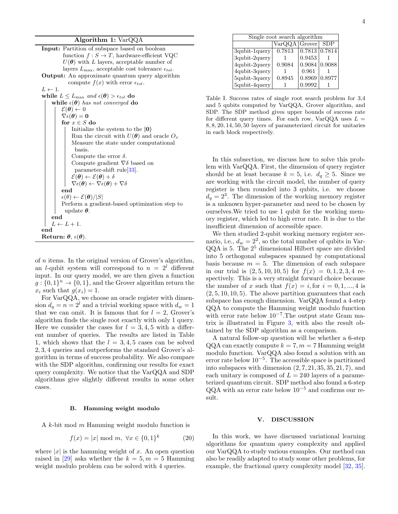## Algorithm 1: VarQQA

<span id="page-3-0"></span>

| <b>Input:</b> Partition of subspace based on boolean                                                   |
|--------------------------------------------------------------------------------------------------------|
| function $f: S \to T$ , hardware-efficient VQC                                                         |
| $U(\theta)$ with L layers, acceptable number of                                                        |
| layers $L_{\text{max}}$ , acceptable cost tolerance $\epsilon_{tol}$ .                                 |
| <b>Output:</b> An approximate quantum query algorithm                                                  |
| compute $f(x)$ with error $\epsilon_{tol}$ .                                                           |
| $L \leftarrow 1$ .                                                                                     |
| while $L \leq L_{\text{max}}$ and $\epsilon(\boldsymbol{\theta}) > \epsilon_{tol}$ do                  |
| while $\epsilon(\theta)$ has not converged do                                                          |
| $\mathcal{E}(\boldsymbol{\theta}) \leftarrow 0$                                                        |
| $\nabla \epsilon(\boldsymbol{\theta}) = \mathbf{0}$                                                    |
| for $x \in S$ do                                                                                       |
| Initialize the system to the $ 0\rangle$                                                               |
| Run the circuit with $U(\theta)$ and oracle $O_x$                                                      |
| Measure the state under computational                                                                  |
| basis.                                                                                                 |
| Compute the error $\delta$ .                                                                           |
| Compute gradient $\nabla \delta$ based on                                                              |
| parameter-shift rule <sup>[33]</sup> .                                                                 |
| $\mathcal{E}(\boldsymbol{\theta}) \leftarrow \mathcal{E}(\boldsymbol{\theta}) + \delta$                |
| $\nabla \epsilon(\boldsymbol{\theta}) \leftarrow \nabla \epsilon(\boldsymbol{\theta}) + \nabla \delta$ |
| end                                                                                                    |
| $\epsilon(\theta) \leftarrow \mathcal{E}(\theta)/ S $                                                  |
| Perform a gradient-based optimization step to                                                          |
| update $\theta$ .                                                                                      |
| end                                                                                                    |
| $L \leftarrow L + 1.$                                                                                  |
| end                                                                                                    |
| Return: $\boldsymbol{\theta}$ , $\epsilon(\boldsymbol{\theta})$ .                                      |

of n items. In the original version of Grover's algorithm, an *l*-qubit system will correspond to  $n = 2^l$  different input. In our query model, we are then given a function  $g: \{0,1\}^n \to \{0,1\}$ , and the Grover algorithm return the  $x_i$  such that  $g(x_i) = 1$ .

For VarQQA, we choose an oracle register with dimension  $d_q = n = 2^l$  and a trivial working space with  $d_w = 1$ that we can omit. It is famous that for  $l = 2$ , Grover's algorithm finds the single root exactly with only 1 query. Here we consider the cases for  $l = 3, 4, 5$  with a different number of queries. The results are listed in Table 1, which shows that the  $l = 3, 4, 5$  cases can be solved 2, 3, 4 queries and outperforms the standard Grover's algorithm in terms of success probability. We also compare with the SDP algorithm, confirming our results for exact query complexity. We notice that the VarQQA and SDP algorithms give slightly different results in some other cases.

#### B. Hamming weight modulo

A k-bit mod m Hamming weight modulo function is

$$
f(x) = |x| \bmod m, \ \forall x \in \{0, 1\}^k \tag{20}
$$

where  $|x|$  is the hamming weight of x. An open question raised in [\[29\]](#page-5-14) asks whether the  $k = 5, m = 5$  Hamming weight modulo problem can be solved with 4 queries.

4

| Single root search algorithm |               |                      |            |
|------------------------------|---------------|----------------------|------------|
|                              | VarQQA Grover |                      | <b>SDP</b> |
| 3qubit-1query                | 0.7813        | $0.7813$ 0.7814      |            |
| 3qubit-2query                |               | 0.9453               |            |
| 4qubit-2query                | 0.9084        | $0.9084 \mid 0.9088$ |            |
| 4qubit-3query                |               | 0.961                |            |
| 5qubit-3query                | 0.8945        | 0.8969               | 0.8977     |
| 5qubit-4query                |               | 0.9992               |            |

Table I. Success rates of single root search problem for 3,4 and 5 qubits computed by VarQQA, Grover algorithm, and SDP. The SDP method gives upper bounds of success rate for different query times. For each row,  $VarQQA$  uses  $L =$ 8, 8, 20, 14, 50, 50 layers of parameterized circuit for unitaries in each block respectively.

In this subsection, we discuss how to solve this problem with VarQQA. First, the dimension of query register should be at least because  $k = 5$ , i.e.  $d_q \geq 5$ . Since we are working with the circuit model, the number of query register is then rounded into 3 qubits, i.e. we choose  $d_q = 2^3$ . The dimension of the working memory register is a unknown hyper-parameter and need to be chosen by ourselves.We tried to use 1 qubit for the working memory register, which led to high error rate. It is due to the insufficient dimension of accessible space.

We then studied 2-qubit working memory register scenario, i.e.,  $d_w = 2^2$ , so the total number of qubits in Var- $QQA$  is 5. The  $2^5$  dimensional Hilbert space are divided into 5 orthogonal subspaces spanned by computational basis because  $m = 5$ . The dimension of each subspace in our trial is  $(2, 5, 10, 10, 5)$  for  $f(x) = 0, 1, 2, 3, 4$  respectively. This is a very straight forward choice because the number of x such that  $f(x) = i$ , for  $i = 0, 1, ..., 4$  is  $(2, 5, 10, 10, 5)$ . The above partition guarantees that each subspace has enough dimension. VarQQA found a 4-step QQA to compute the Hamming weight modulo function with error rate below  $10^{-7}$ . The output state Gram matrix is illustrated in Figure [3,](#page-4-5) with also the result obtained by the SDP algorithm as a comparison.

A natural follow-up question will be whether a 6-step  $QQA$  can exactly compute  $k = 7, m = 7$  Hamming weight modulo function. VarQQA also found a solution with an error rate below 10<sup>−</sup><sup>5</sup> . The accessible space is partitioned into subspaces with dimension  $(2, 7, 21, 35, 35, 21, 7)$ , and each unitary is composed of  $L = 240$  layers of a parameterized quantum circuit. SDP method also found a 6-step QQA with an error rate below  $10^{-5}$  and confirms our result.

### V. DISCUSSION

In this work, we have discussed variational learning algorithms for quantum query complexity and applied our VarQQA to study various examples. Our method can also be readily adapted to study some other problems, for example, the fractional query complexity model [\[32,](#page-5-17) [35\]](#page-5-20).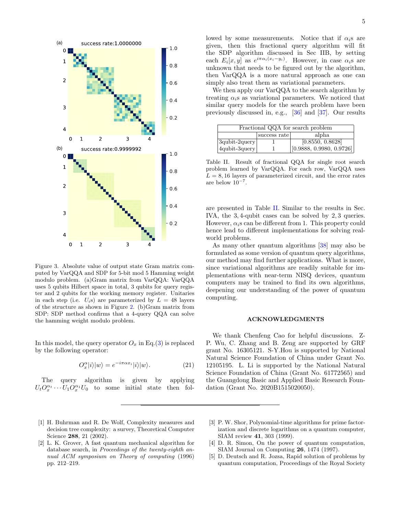

<span id="page-4-5"></span>Figure 3. Absolute value of output state Gram matrix computed by VarQQA and SDP for 5-bit mod 5 Hamming weight modulo problem. (a)Gram matrix from VarQQA: VarQQA uses 5 qubits Hilbert space in total, 3 qubits for query register and 2 qubits for the working memory register. Unitaries in each step (i.e.  $U_i$ s) are parameterized by  $L = 48$  layers of the structure as shown in Figure [2.](#page-2-1) (b)Gram matrix from SDP: SDP method confirms that a 4-query QQA can solve the hamming weight modulo problem.

In this model, the query operator  $O_x$  in Eq.[\(3\)](#page-1-2) is replaced by the following operator:

$$
O_x^{\alpha} |i\rangle |w\rangle = e^{-i\pi \alpha x_i} |i\rangle |w\rangle.
$$
 (21)

The query algorithm is given by applying  $U_t O_x^{\alpha_t} \cdots U_1 O_x^{\alpha_1} U_0$  to some initial state then fol-

- <span id="page-4-0"></span>[1] H. Buhrman and R. De Wolf, Complexity measures and decision tree complexity: a survey, Theoretical Computer Science 288, 21 (2002).
- <span id="page-4-1"></span>[2] L. K. Grover, A fast quantum mechanical algorithm for database search, in Proceedings of the twenty-eighth annual ACM symposium on Theory of computing (1996) pp. 212–219.

lowed by some measurements. Notice that if  $\alpha_i$ s are given, then this fractional query algorithm will fit the SDP algorithm discussed in Sec IIB, by setting each  $E_i[x, y]$  as  $e^{i\pi \alpha_i(x_i-y_i)}$ . However, in case  $\alpha_i$ s are unknown that needs to be figured out by the algorithm, then VarQQA is a more natural approach as one can simply also treat them as variational parameters.

We then apply our VarQQA to the search algorithm by treating  $\alpha_i$ s as variational parameters. We noticed that similar query models for the search problem have been previously discussed in, e.g., [\[36\]](#page-5-21) and [\[37\]](#page-5-22). Our results

| Fractional QQA for search problem |              |                               |  |  |
|-----------------------------------|--------------|-------------------------------|--|--|
|                                   | success rate | alpha                         |  |  |
| $3qubit-2query$                   |              | $[0.8\overline{550, 0.8628}]$ |  |  |
| 4qubit-3query                     |              | [0.9888, 0.9980, 0.9726]      |  |  |

<span id="page-4-6"></span>Table II. Result of fractional QQA for single root search problem learned by VarQQA. For each row, VarQQA uses  $L = 8, 16$  layers of parameterized circuit, and the error rates are below  $10^{-7}$ .

are presented in Table [II.](#page-4-6) Similar to the results in Sec. IVA, the 3, 4-qubit cases can be solved by 2, 3 queries. However,  $\alpha_i$ s can be different from 1. This property could hence lead to different implementations for solving realworld problems.

As many other quantum algorithms [\[38\]](#page-5-23) may also be formulated as some version of quantum query algorithms, our method may find further applications. What is more, since variational algorithms are readily suitable for implementations with near-term NISQ devices, quantum computers may be trained to find its own algorithms, deepening our understanding of the power of quantum computing.

#### ACKNOWLEDGMENTS

We thank Chenfeng Cao for helpful discussions. Z-P. Wu, C. Zhang and B. Zeng are supported by GRF grant No. 16305121. S-Y.Hou is supported by National Natural Science Foundation of China under Grant No. 12105195. L. Li is supported by the National Natural Science Foundation of China (Grant No. 61772565) and the Guangdong Basic and Applied Basic Research Foundation (Grant No. 2020B1515020050).

- <span id="page-4-2"></span>[3] P. W. Shor, Polynomial-time algorithms for prime factorization and discrete logarithms on a quantum computer, SIAM review 41, 303 (1999).
- <span id="page-4-3"></span>[4] D. R. Simon, On the power of quantum computation, SIAM Journal on Computing 26, 1474 (1997).
- <span id="page-4-4"></span>[5] D. Deutsch and R. Jozsa, Rapid solution of problems by quantum computation, Proceedings of the Royal Society